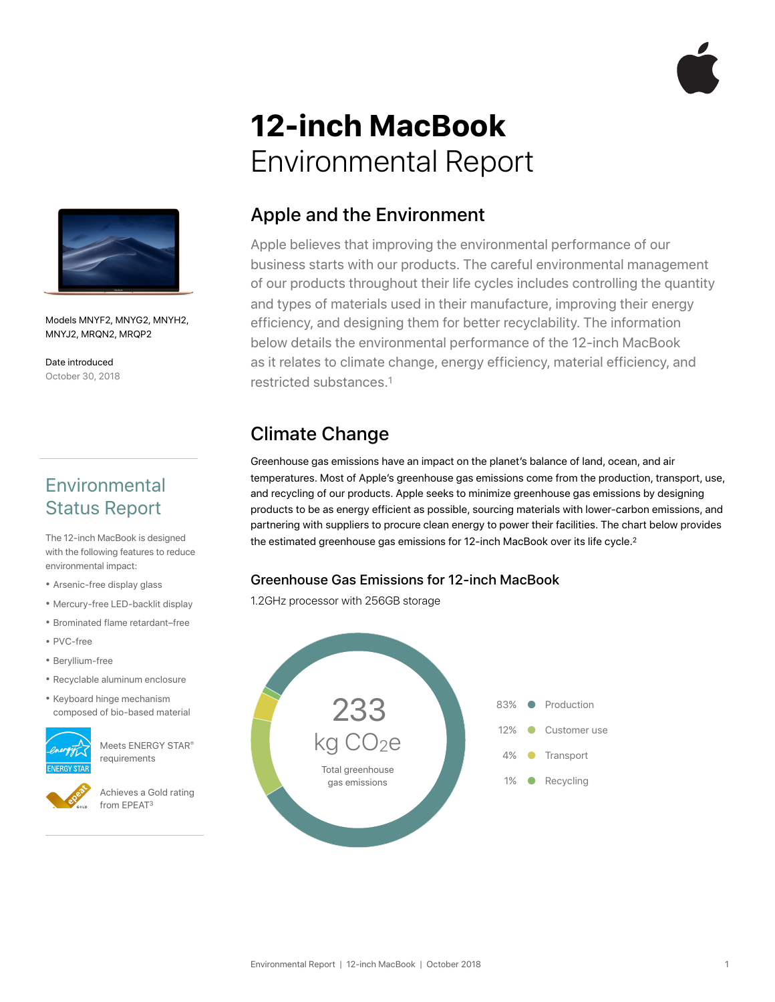

# **12-inch MacBook**  Environmental Report



Models MNYF2, MNYG2, MNYH2, MNYJ2, MRQN2, MRQP2

Date introduced October 30, 2018

# **Environmental** Status Report

The 12-inch MacBook is designed with the following features to reduce environmental impact:

- Arsenic-free display glass
- Mercury-free LED-backlit display
- Brominated flame retardant–free
- PVC-free
- Beryllium-free
- Recyclable aluminum enclosure
- Keyboard hinge mechanism composed of bio-based material



Meets ENERGY STAR® requirements



Achieves a Gold rating from EPEAT3

# Apple and the Environment

Apple believes that improving the environmental performance of our business starts with our products. The careful environmental management of our products throughout their life cycles includes controlling the quantity and types of materials used in their manufacture, improving their energy efficiency, and designing them for better recyclability. The information below details the environmental performance of the 12-inch MacBook as it relates to climate change, energy efficiency, material efficiency, and restricted substances.1

# Climate Change

Greenhouse gas emissions have an impact on the planet's balance of land, ocean, and air temperatures. Most of Apple's greenhouse gas emissions come from the production, transport, use, and recycling of our products. Apple seeks to minimize greenhouse gas emissions by designing products to be as energy efficient as possible, sourcing materials with lower-carbon emissions, and partnering with suppliers to procure clean energy to power their facilities. The chart below provides the estimated greenhouse gas emissions for 12-inch MacBook over its life cycle.<sup>2</sup>

#### Greenhouse Gas Emissions for 12-inch MacBook

1.2GHz processor with 256GB storage

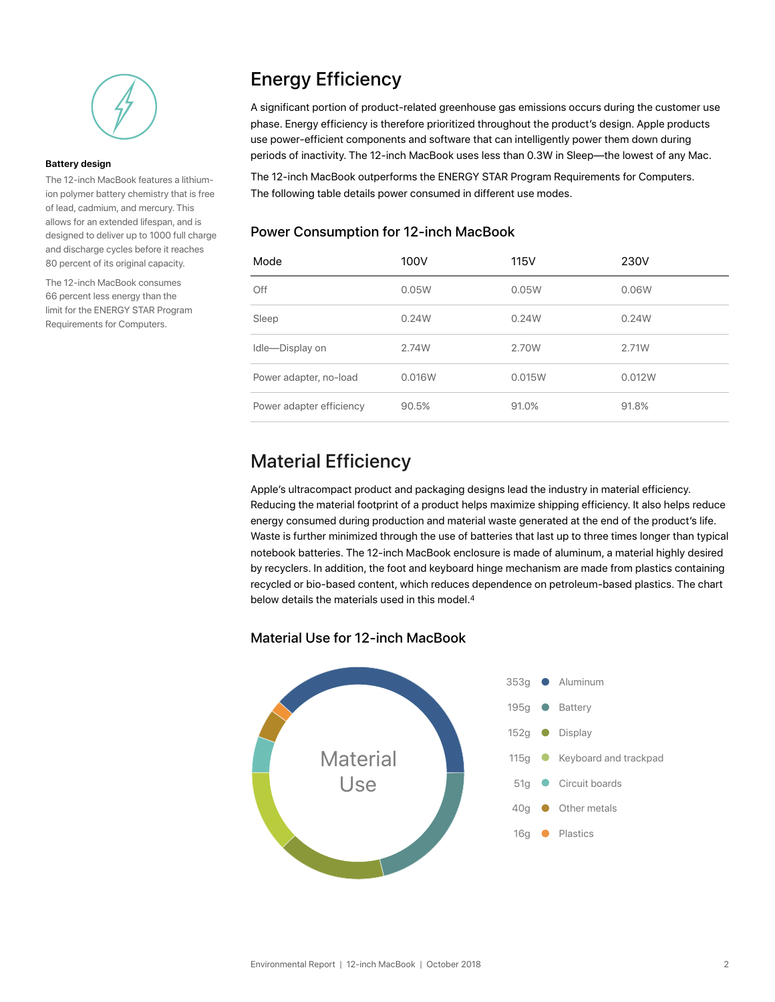

#### **Battery design**

The 12-inch MacBook features a lithiumion polymer battery chemistry that is free of lead, cadmium, and mercury. This allows for an extended lifespan, and is designed to deliver up to 1000 full charge and discharge cycles before it reaches 80 percent of its original capacity.

The 12-inch MacBook consumes 66 percent less energy than the limit for the ENERGY STAR Program Requirements for Computers.

# Energy Efficiency

A significant portion of product-related greenhouse gas emissions occurs during the customer use phase. Energy efficiency is therefore prioritized throughout the product's design. Apple products use power-efficient components and software that can intelligently power them down during periods of inactivity. The 12-inch MacBook uses less than 0.3W in Sleep—the lowest of any Mac.

The 12-inch MacBook outperforms the ENERGY STAR Program Requirements for Computers. The following table details power consumed in different use modes.

#### Power Consumption for 12-inch MacBook

| Mode                     | 100V   | 115V   | 230V   |
|--------------------------|--------|--------|--------|
| Off                      | 0.05W  | 0.05W  | 0.06W  |
| Sleep                    | 0.24W  | 0.24W  | 0.24W  |
| Idle-Display on          | 2.74W  | 2.70W  | 2.71W  |
| Power adapter, no-load   | 0.016W | 0.015W | 0.012W |
| Power adapter efficiency | 90.5%  | 91.0%  | 91.8%  |

#### Material Efficiency

Apple's ultracompact product and packaging designs lead the industry in material efficiency. Reducing the material footprint of a product helps maximize shipping efficiency. It also helps reduce energy consumed during production and material waste generated at the end of the product's life. Waste is further minimized through the use of batteries that last up to three times longer than typical notebook batteries. The 12-inch MacBook enclosure is made of aluminum, a material highly desired by recyclers. In addition, the foot and keyboard hinge mechanism are made from plastics containing recycled or bio-based content, which reduces dependence on petroleum-based plastics. The chart below details the materials used in this model.<sup>4</sup>

#### Material Use for 12-inch MacBook

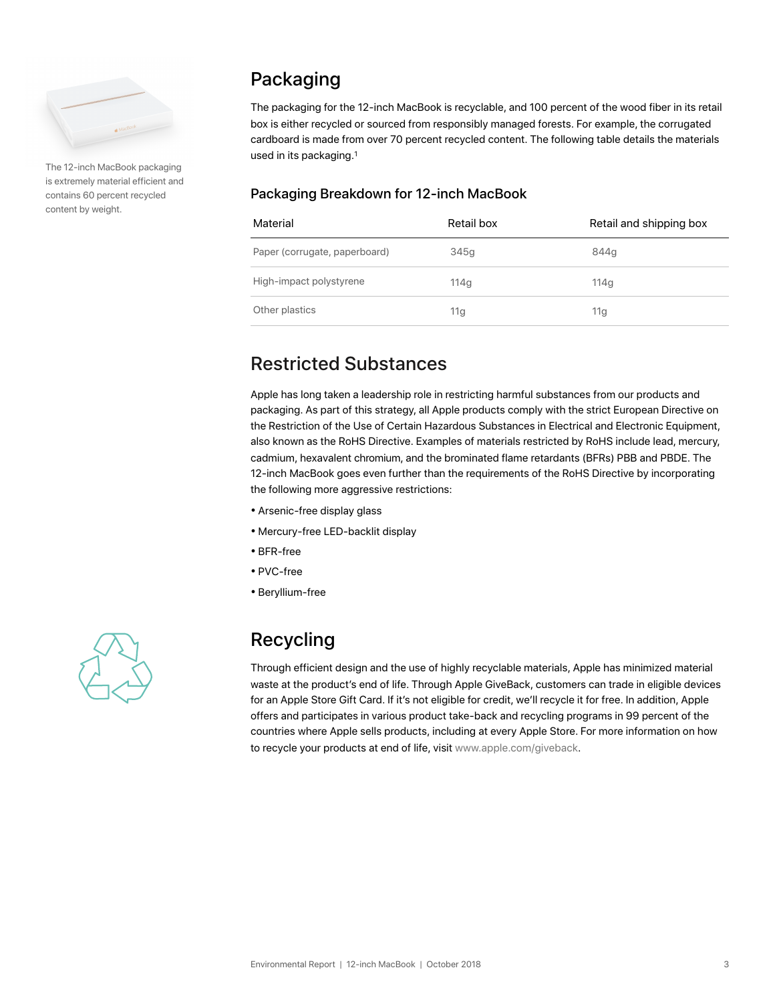

The 12-inch MacBook packaging is extremely material efficient and contains 60 percent recycled content by weight.

# Packaging

The packaging for the 12-inch MacBook is recyclable, and 100 percent of the wood fiber in its retail box is either recycled or sourced from responsibly managed forests. For example, the corrugated cardboard is made from over 70 percent recycled content. The following table details the materials used in its packaging.1

#### Packaging Breakdown for 12-inch MacBook

| Material                      | Retail box       | Retail and shipping box |
|-------------------------------|------------------|-------------------------|
| Paper (corrugate, paperboard) | 345g             | 844q                    |
| High-impact polystyrene       | 114 <sub>a</sub> | 114q                    |
| Other plastics                | 11g              | 11g                     |

# Restricted Substances

Apple has long taken a leadership role in restricting harmful substances from our products and packaging. As part of this strategy, all Apple products comply with the strict European Directive on the Restriction of the Use of Certain Hazardous Substances in Electrical and Electronic Equipment, also known as the RoHS Directive. Examples of materials restricted by RoHS include lead, mercury, cadmium, hexavalent chromium, and the brominated flame retardants (BFRs) PBB and PBDE. The 12-inch MacBook goes even further than the requirements of the RoHS Directive by incorporating the following more aggressive restrictions:

- Arsenic-free display glass
- Mercury-free LED-backlit display
- BFR-free
- PVC-free
- Beryllium-free



# Recycling

Through efficient design and the use of highly recyclable materials, Apple has minimized material waste at the product's end of life. Through Apple GiveBack, customers can trade in eligible devices for an Apple Store Gift Card. If it's not eligible for credit, we'll recycle it for free. In addition, Apple offers and participates in various product take-back and recycling programs in 99 percent of the countries where Apple sells products, including at every Apple Store. For more information on how to recycle your products at end of life, visit [www.apple.com/giveback.](http://www.apple.com/giveback)